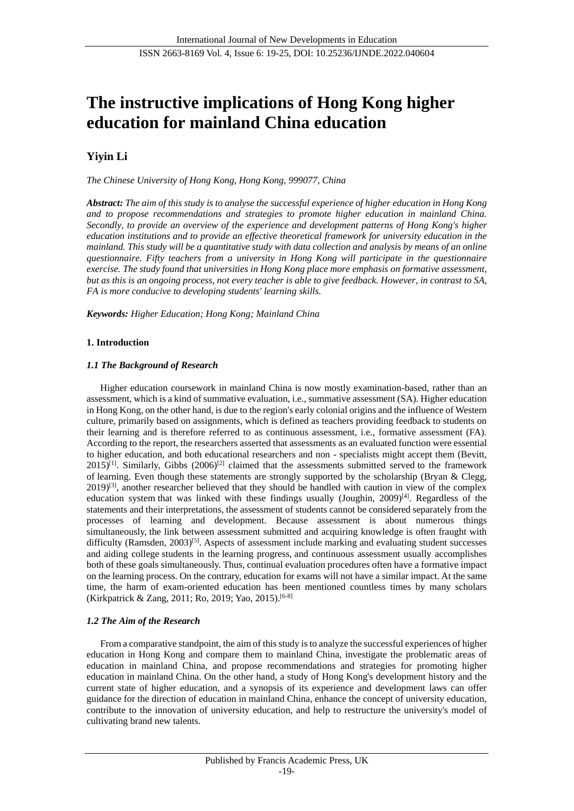# **The instructive implications of Hong Kong higher education for mainland China education**

# **Yiyin Li**

*The Chinese University of Hong Kong, Hong Kong, 999077, China*

*Abstract: The aim of this study is to analyse the successful experience of higher education in Hong Kong and to propose recommendations and strategies to promote higher education in mainland China. Secondly, to provide an overview of the experience and development patterns of Hong Kong's higher education institutions and to provide an effective theoretical framework for university education in the mainland. This study will be a quantitative study with data collection and analysis by means of an online questionnaire. Fifty teachers from a university in Hong Kong will participate in the questionnaire exercise. The study found that universities in Hong Kong place more emphasis on formative assessment, but as this is an ongoing process, not every teacher is able to give feedback. However, in contrast to SA, FA is more conducive to developing students' learning skills.*

*Keywords: Higher Education; Hong Kong; Mainland China*

# **1. Introduction**

# *1.1 The Background of Research*

Higher education coursework in mainland China is now mostly examination-based, rather than an assessment, which is a kind of summative evaluation, i.e., summative assessment (SA). Higher education in Hong Kong, on the other hand, is due to the region's early colonial origins and the influence of Western culture, primarily based on assignments, which is defined as teachers providing feedback to students on their learning and is therefore referred to as continuous assessment, i.e., formative assessment (FA). According to the report, the researchers asserted that assessments as an evaluated function were essential to higher education, and both educational researchers and non - specialists might accept them (Bevitt,  $2015$ <sup>[1]</sup>. Similarly, Gibbs (2006)<sup>[2]</sup> claimed that the assessments submitted served to the framework of learning. Even though these statements are strongly supported by the scholarship (Bryan & Clegg,  $2019$ <sup>[3]</sup>, another researcher believed that they should be handled with caution in view of the complex education system that was linked with these findings usually (Joughin, 2009)<sup>[4]</sup>. Regardless of the statements and their interpretations, the assessment of students cannot be considered separately from the processes of learning and development. Because assessment is about numerous things simultaneously, the link between assessment submitted and acquiring knowledge is often fraught with difficulty (Ramsden, 2003)<sup>[5]</sup>. Aspects of assessment include marking and evaluating student successes and aiding college students in the learning progress, and continuous assessment usually accomplishes both of these goals simultaneously. Thus, continual evaluation procedures often have a formative impact on the learning process. On the contrary, education for exams will not have a similar impact. At the same time, the harm of exam-oriented education has been mentioned countless times by many scholars (Kirkpatrick & Zang, 2011; Ro, 2019; Yao, 2015). [6-8]

# *1.2 The Aim of the Research*

From a comparative standpoint, the aim of this study is to analyze the successful experiences of higher education in Hong Kong and compare them to mainland China, investigate the problematic areas of education in mainland China, and propose recommendations and strategies for promoting higher education in mainland China. On the other hand, a study of Hong Kong's development history and the current state of higher education, and a synopsis of its experience and development laws can offer guidance for the direction of education in mainland China, enhance the concept of university education, contribute to the innovation of university education, and help to restructure the university's model of cultivating brand new talents.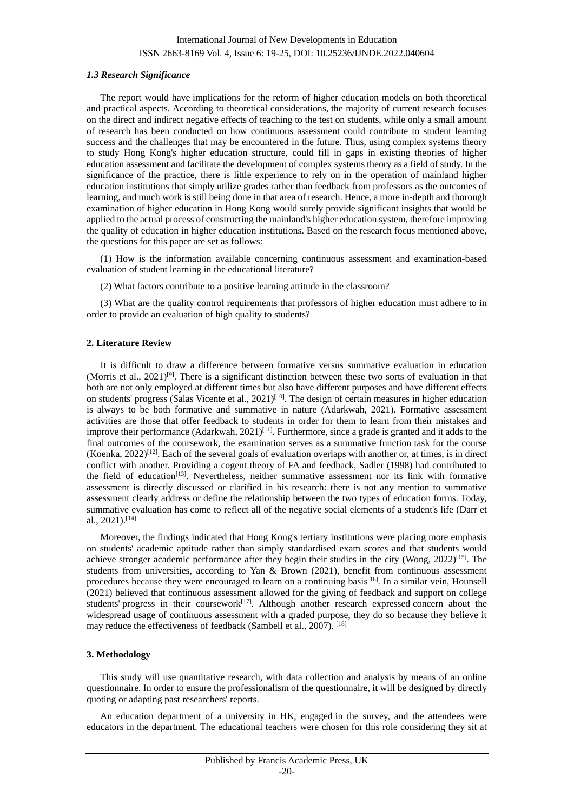#### *1.3 Research Significance*

The report would have implications for the reform of higher education models on both theoretical and practical aspects. According to theoretical considerations, the majority of current research focuses on the direct and indirect negative effects of teaching to the test on students, while only a small amount of research has been conducted on how continuous assessment could contribute to student learning success and the challenges that may be encountered in the future. Thus, using complex systems theory to study Hong Kong's higher education structure, could fill in gaps in existing theories of higher education assessment and facilitate the development of complex systems theory as a field of study. In the significance of the practice, there is little experience to rely on in the operation of mainland higher education institutions that simply utilize grades rather than feedback from professors as the outcomes of learning, and much work is still being done in that area of research. Hence, a more in-depth and thorough examination of higher education in Hong Kong would surely provide significant insights that would be applied to the actual process of constructing the mainland's higher education system, therefore improving the quality of education in higher education institutions. Based on the research focus mentioned above, the questions for this paper are set as follows:

(1) How is the information available concerning continuous assessment and examination-based evaluation of student learning in the educational literature?

(2) What factors contribute to a positive learning attitude in the classroom?

(3) What are the quality control requirements that professors of higher education must adhere to in order to provide an evaluation of high quality to students?

#### **2. Literature Review**

It is difficult to draw a difference between formative versus summative evaluation in education (Morris et al.,  $2021$ <sup>[9]</sup>. There is a significant distinction between these two sorts of evaluation in that both are not only employed at different times but also have different purposes and have different effects on students' progress (Salas Vicente et al., 2021)<sup>[10]</sup>. The design of certain measures in higher education is always to be both formative and summative in nature (Adarkwah, 2021). Formative assessment activities are those that offer feedback to students in order for them to learn from their mistakes and improve their performance (Adarkwah, 2021)<sup>[11]</sup>. Furthermore, since a grade is granted and it adds to the final outcomes of the coursework, the examination serves as a summative function task for the course (Koenka,  $2022$ )<sup>[12]</sup>. Each of the several goals of evaluation overlaps with another or, at times, is in direct conflict with another. Providing a cogent theory of FA and feedback, Sadler (1998) had contributed to the field of education[13]. Nevertheless, neither summative assessment nor its link with formative assessment is directly discussed or clarified in his research: there is not any mention to summative assessment clearly address or define the relationship between the two types of education forms. Today, summative evaluation has come to reflect all of the negative social elements of a student's life (Darr et al., 2021). [14]

Moreover, the findings indicated that Hong Kong's tertiary institutions were placing more emphasis on students' academic aptitude rather than simply standardised exam scores and that students would achieve stronger academic performance after they begin their studies in the city (Wong,  $2022$ )<sup>[15]</sup>. The students from universities, according to Yan & Brown  $(2021)$ , benefit from continuous assessment procedures because they were encouraged to learn on a continuing basis<sup>[16]</sup>. In a similar vein, Hounsell (2021) believed that continuous assessment allowed for the giving of feedback and support on college students' progress in their coursework<sup>[17]</sup>. Although another research expressed concern about the widespread usage of continuous assessment with a graded purpose, they do so because they believe it may reduce the effectiveness of feedback (Sambell et al., 2007). [18]

#### **3. Methodology**

This study will use quantitative research, with data collection and analysis by means of an online questionnaire. In order to ensure the professionalism of the questionnaire, it will be designed by directly quoting or adapting past researchers' reports.

An education department of a university in HK, engaged in the survey, and the attendees were educators in the department. The educational teachers were chosen for this role considering they sit at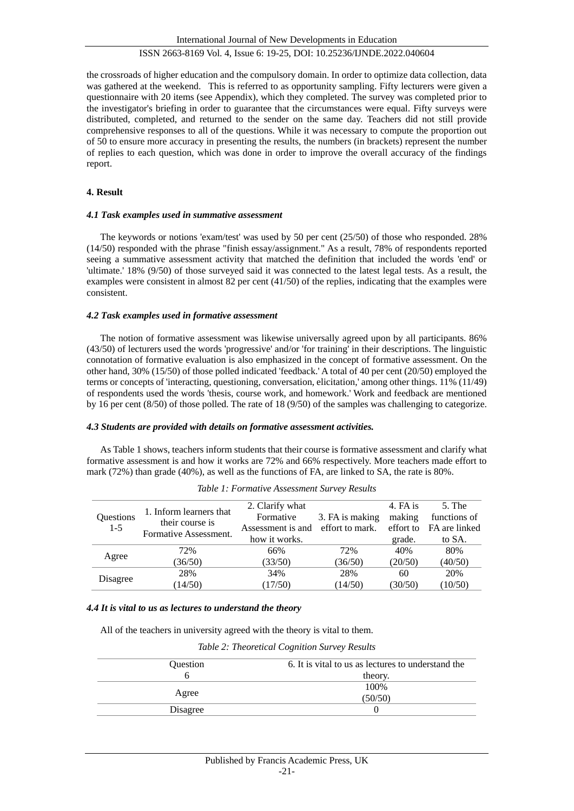the crossroads of higher education and the compulsory domain. In order to optimize data collection, data was gathered at the weekend. This is referred to as opportunity sampling. Fifty lecturers were given a questionnaire with 20 items (see Appendix), which they completed. The survey was completed prior to the investigator's briefing in order to guarantee that the circumstances were equal. Fifty surveys were distributed, completed, and returned to the sender on the same day. Teachers did not still provide comprehensive responses to all of the questions. While it was necessary to compute the proportion out of 50 to ensure more accuracy in presenting the results, the numbers (in brackets) represent the number of replies to each question, which was done in order to improve the overall accuracy of the findings report.

# **4. Result**

#### *4.1 Task examples used in summative assessment*

The keywords or notions 'exam/test' was used by 50 per cent (25/50) of those who responded. 28% (14/50) responded with the phrase "finish essay/assignment." As a result, 78% of respondents reported seeing a summative assessment activity that matched the definition that included the words 'end' or 'ultimate.' 18% (9/50) of those surveyed said it was connected to the latest legal tests. As a result, the examples were consistent in almost 82 per cent (41/50) of the replies, indicating that the examples were consistent.

#### *4.2 Task examples used in formative assessment*

The notion of formative assessment was likewise universally agreed upon by all participants. 86% (43/50) of lecturers used the words 'progressive' and/or 'for training' in their descriptions. The linguistic connotation of formative evaluation is also emphasized in the concept of formative assessment. On the other hand, 30% (15/50) of those polled indicated 'feedback.' A total of 40 per cent (20/50) employed the terms or concepts of 'interacting, questioning, conversation, elicitation,' among other things. 11% (11/49) of respondents used the words 'thesis, course work, and homework.' Work and feedback are mentioned by 16 per cent (8/50) of those polled. The rate of 18 (9/50) of the samples was challenging to categorize.

#### *4.3 Students are provided with details on formative assessment activities.*

As Table 1 shows, teachers inform students that their course is formative assessment and clarify what formative assessment is and how it works are 72% and 66% respectively. More teachers made effort to mark (72%) than grade (40%), as well as the functions of FA, are linked to SA, the rate is 80%.

| Questions<br>$1-5$ | 1. Inform learners that<br>their course is<br>Formative Assessment. | 2. Clarify what                   |                 | 4. FA is  | $5.$ The      |
|--------------------|---------------------------------------------------------------------|-----------------------------------|-----------------|-----------|---------------|
|                    |                                                                     | Formative                         | 3. FA is making | making    | functions of  |
|                    |                                                                     | Assessment is and effort to mark. |                 | effort to | FA are linked |
|                    |                                                                     | how it works.                     |                 | grade.    | to SA.        |
| Agree              | 72%                                                                 | 66%                               | 72%             | 40%       | 80%           |
|                    | (36/50)                                                             | (33/50)                           | (36/50)         | (20/50)   | (40/50)       |
| Disagree           | 28%                                                                 | 34%                               | 28%             | 60        | 20%           |
|                    | (14/50)                                                             | (17/50)                           | (14/50)         | (30/50)   | (10/50)       |

*Table 1: Formative Assessment Survey Results*

#### *4.4 It is vital to us as lectures to understand the theory*

All of the teachers in university agreed with the theory is vital to them.

*Table 2: Theoretical Cognition Survey Results*

| <b>Ouestion</b> | 6. It is vital to us as lectures to understand the<br>theory. |  |  |
|-----------------|---------------------------------------------------------------|--|--|
|                 |                                                               |  |  |
|                 | 100\%                                                         |  |  |
| Agree           | (50/50)                                                       |  |  |
| Disagree        |                                                               |  |  |
|                 |                                                               |  |  |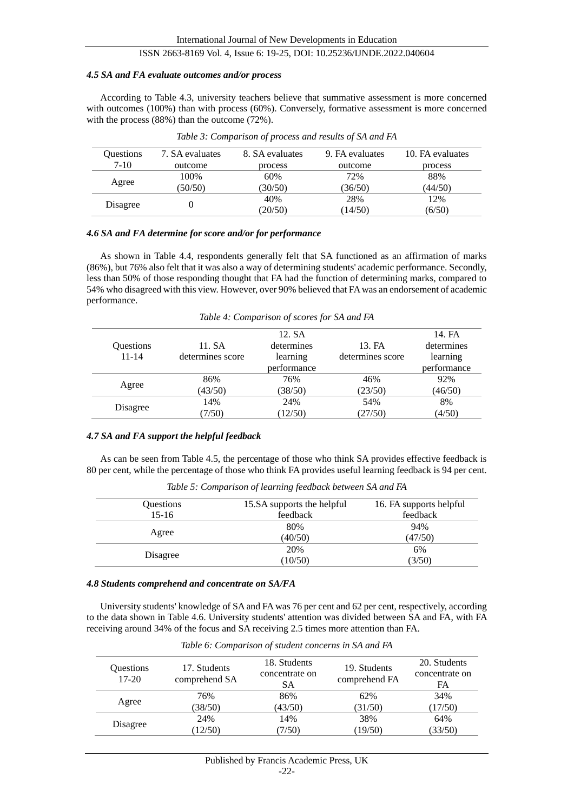#### *4.5 SA and FA evaluate outcomes and/or process*

According to Table 4.3, university teachers believe that summative assessment is more concerned with outcomes (100%) than with process (60%). Conversely, formative assessment is more concerned with the process (88%) than the outcome (72%).

| <b>Ouestions</b> | 7. SA evaluates | 8. SA evaluates | 9. FA evaluates | 10. FA evaluates |
|------------------|-----------------|-----------------|-----------------|------------------|
| $7-10$           | outcome         | process         | outcome         | process          |
|                  | 100%            | 60%             | 72%             | 88%              |
| Agree            | (50/50)         | (30/50)         | (36/50)         | (44/50)          |
|                  |                 | 40%             | 28%             | 12%              |
| Disagree         |                 | (20/50)         | (14/50)         | (6/50)           |

*Table 3: Comparison of process and results of SA and FA*

#### *4.6 SA and FA determine for score and/or for performance*

As shown in Table 4.4, respondents generally felt that SA functioned as an affirmation of marks (86%), but 76% also felt that it was also a way of determining students' academic performance. Secondly, less than 50% of those responding thought that FA had the function of determining marks, compared to 54% who disagreed with this view. However, over 90% believed that FA was an endorsement of academic performance.

*Table 4: Comparison of scores for SA and FA*

|           |                  | 12. SA      |                  | 14. FA      |
|-----------|------------------|-------------|------------------|-------------|
| Questions | 11. SA           | determines  | 13. FA           | determines  |
| $11 - 14$ | determines score | learning    | determines score | learning    |
|           |                  | performance |                  | performance |
| Agree     | 86%              | 76%         | 46%              | 92%         |
|           | (43/50)          | (38/50)     | (23/50)          | (46/50)     |
| Disagree  | 14%              | 24%         | 54%              | 8%          |
|           | (7/50)           | (12/50)     | (27/50)          | (4/50)      |

## *4.7 SA and FA support the helpful feedback*

As can be seen from Table 4.5, the percentage of those who think SA provides effective feedback is 80 per cent, while the percentage of those who think FA provides useful learning feedback is 94 per cent.

*Table 5: Comparison of learning feedback between SA and FA*

| Questions | 15.SA supports the helpful | 16. FA supports helpful<br>feedback |  |
|-----------|----------------------------|-------------------------------------|--|
| $15-16$   | feedback                   |                                     |  |
|           | 80%                        | 94%                                 |  |
| Agree     | (40/50)                    | (47/50)                             |  |
|           | 20%                        | 6%                                  |  |
| Disagree  | (10/50)                    | (3/50)                              |  |

#### *4.8 Students comprehend and concentrate on SA/FA*

University students' knowledge of SA and FA was 76 per cent and 62 per cent, respectively, according to the data shown in Table 4.6. University students' attention was divided between SA and FA, with FA receiving around 34% of the focus and SA receiving 2.5 times more attention than FA.

| Ouestions<br>$17-20$ | 17. Students<br>comprehend SA | 18. Students<br>concentrate on<br>SА | 19. Students<br>comprehend FA | 20. Students<br>concentrate on<br>FA |
|----------------------|-------------------------------|--------------------------------------|-------------------------------|--------------------------------------|
|                      | 76%                           | 86%                                  | 62%                           | 34%                                  |
| Agree                | (38/50)                       | (43/50)                              | (31/50)                       | (17/50)                              |
|                      | 24%                           | 14%                                  | 38%                           | 64%                                  |
| Disagree             | 12/50                         | 7/50                                 | (19/50)                       | (33/50)                              |

*Table 6: Comparison of student concerns in SA and FA*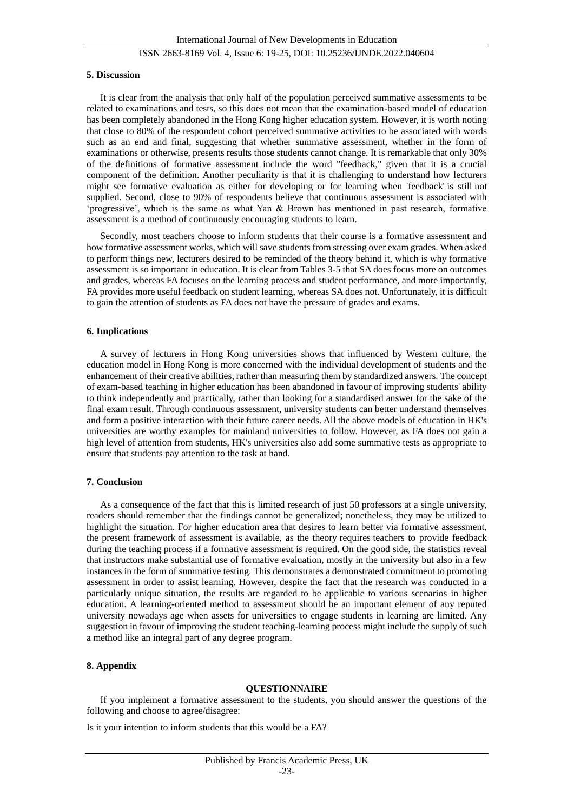#### **5. Discussion**

It is clear from the analysis that only half of the population perceived summative assessments to be related to examinations and tests, so this does not mean that the examination-based model of education has been completely abandoned in the Hong Kong higher education system. However, it is worth noting that close to 80% of the respondent cohort perceived summative activities to be associated with words such as an end and final, suggesting that whether summative assessment, whether in the form of examinations or otherwise, presents results those students cannot change. It is remarkable that only 30% of the definitions of formative assessment include the word "feedback," given that it is a crucial component of the definition. Another peculiarity is that it is challenging to understand how lecturers might see formative evaluation as either for developing or for learning when 'feedback' is still not supplied. Second, close to 90% of respondents believe that continuous assessment is associated with 'progressive', which is the same as what Yan & Brown has mentioned in past research, formative assessment is a method of continuously encouraging students to learn.

Secondly, most teachers choose to inform students that their course is a formative assessment and how formative assessment works, which will save students from stressing over exam grades. When asked to perform things new, lecturers desired to be reminded of the theory behind it, which is why formative assessment is so important in education. It is clear from Tables 3-5 that SA does focus more on outcomes and grades, whereas FA focuses on the learning process and student performance, and more importantly, FA provides more useful feedback on student learning, whereas SA does not. Unfortunately, it is difficult to gain the attention of students as FA does not have the pressure of grades and exams.

#### **6. Implications**

A survey of lecturers in Hong Kong universities shows that influenced by Western culture, the education model in Hong Kong is more concerned with the individual development of students and the enhancement of their creative abilities, rather than measuring them by standardized answers. The concept of exam-based teaching in higher education has been abandoned in favour of improving students' ability to think independently and practically, rather than looking for a standardised answer for the sake of the final exam result. Through continuous assessment, university students can better understand themselves and form a positive interaction with their future career needs. All the above models of education in HK's universities are worthy examples for mainland universities to follow. However, as FA does not gain a high level of attention from students, HK's universities also add some summative tests as appropriate to ensure that students pay attention to the task at hand.

# **7. Conclusion**

As a consequence of the fact that this is limited research of just 50 professors at a single university, readers should remember that the findings cannot be generalized; nonetheless, they may be utilized to highlight the situation. For higher education area that desires to learn better via formative assessment, the present framework of assessment is available, as the theory requires teachers to provide feedback during the teaching process if a formative assessment is required. On the good side, the statistics reveal that instructors make substantial use of formative evaluation, mostly in the university but also in a few instances in the form of summative testing. This demonstrates a demonstrated commitment to promoting assessment in order to assist learning. However, despite the fact that the research was conducted in a particularly unique situation, the results are regarded to be applicable to various scenarios in higher education. A learning-oriented method to assessment should be an important element of any reputed university nowadays age when assets for universities to engage students in learning are limited. Any suggestion in favour of improving the student teaching-learning process might include the supply of such a method like an integral part of any degree program.

#### **8. Appendix**

#### **QUESTIONNAIRE**

If you implement a formative assessment to the students, you should answer the questions of the following and choose to agree/disagree:

Is it your intention to inform students that this would be a FA?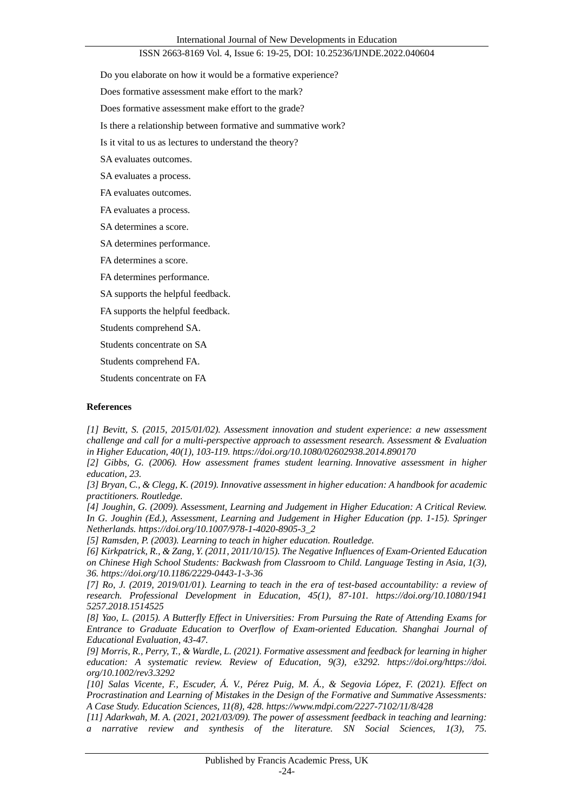Do you elaborate on how it would be a formative experience?

Does formative assessment make effort to the mark?

Does formative assessment make effort to the grade?

Is there a relationship between formative and summative work?

Is it vital to us as lectures to understand the theory?

SA evaluates outcomes.

SA evaluates a process.

FA evaluates outcomes.

FA evaluates a process.

SA determines a score.

SA determines performance.

FA determines a score.

FA determines performance.

SA supports the helpful feedback.

FA supports the helpful feedback.

Students comprehend SA.

Students concentrate on SA

Students comprehend FA.

Students concentrate on FA

#### **References**

*[1] Bevitt, S. (2015, 2015/01/02). Assessment innovation and student experience: a new assessment challenge and call for a multi-perspective approach to assessment research. Assessment & Evaluation in Higher Education, 40(1), 103-119.<https://doi.org/10.1080/02602938.2014.890170>*

*[2] Gibbs, G. (2006). How assessment frames student learning. Innovative assessment in higher education, 23.*

*[3] Bryan, C., & Clegg, K. (2019). Innovative assessment in higher education: A handbook for academic practitioners. Routledge.*

*[4] Joughin, G. (2009). Assessment, Learning and Judgement in Higher Education: A Critical Review. In G. Joughin (Ed.), Assessment, Learning and Judgement in Higher Education (pp. 1-15). Springer Netherlands[. https://doi.org/10.1007/978-1-4020-8905-3\\_2](https://doi.org/10.1007/978-1-4020-8905-3_2)*

*[5] Ramsden, P. (2003). Learning to teach in higher education. Routledge.* 

*[6] Kirkpatrick, R., & Zang, Y. (2011, 2011/10/15). The Negative Influences of Exam-Oriented Education on Chinese High School Students: Backwash from Classroom to Child. Language Testing in Asia, 1(3), 36.<https://doi.org/10.1186/2229-0443-1-3-36>*

*[7] Ro, J. (2019, 2019/01/01). Learning to teach in the era of test-based accountability: a review of research. Professional Development in Education, 45(1), 87-101. https://doi.org/10.1080/1941 5257.2018.1514525*

*[8] Yao, L. (2015). A Butterfly Effect in Universities: From Pursuing the Rate of Attending Exams for Entrance to Graduate Education to Overflow of Exam-oriented Education. Shanghai Journal of Educational Evaluation, 43-47.*

*[9] Morris, R., Perry, T., & Wardle, L. (2021). Formative assessment and feedback for learning in higher education: A systematic review. Review of Education, 9(3), e3292. https://doi.org/https://doi. org/10.1002/rev3.3292*

*[10] Salas Vicente, F., Escuder, Á. V., Pérez Puig, M. Á., & Segovia López, F. (2021). Effect on Procrastination and Learning of Mistakes in the Design of the Formative and Summative Assessments: A Case Study. Education Sciences, 11(8), 428.<https://www.mdpi.com/2227-7102/11/8/428>*

*[11] Adarkwah, M. A. (2021, 2021/03/09). The power of assessment feedback in teaching and learning: a narrative review and synthesis of the literature. SN Social Sciences, 1(3), 75.*